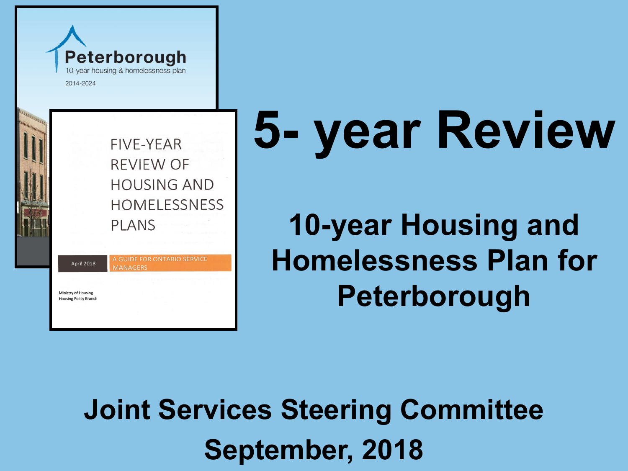

April 2018

Ministry of Housing **Housing Policy Branch** 

FIVE-YEAR **REVIEW OF HOUSING AND HOMELESSNESS PLANS** 

A GUIDE FOR ONTARIO SERVICE

**AANAGERS** 

# **5- year Review**

**10-year Housing and Homelessness Plan for Peterborough**

**Joint Services Steering Committee September, 2018**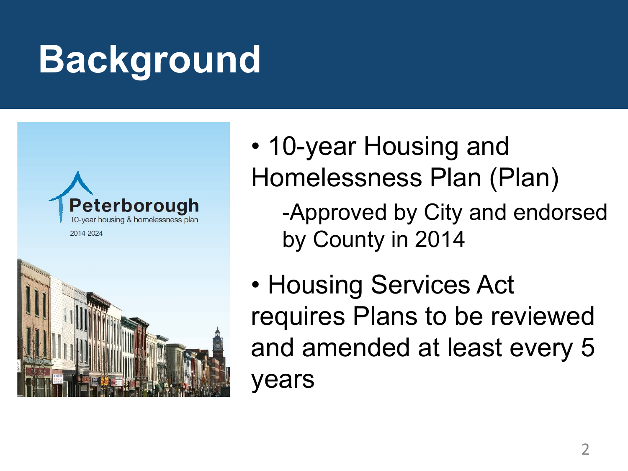## **Background**





• 10-year Housing and Homelessness Plan (Plan)

-Approved by City and endorsed by County in 2014

• Housing Services Act requires Plans to be reviewed and amended at least every 5 years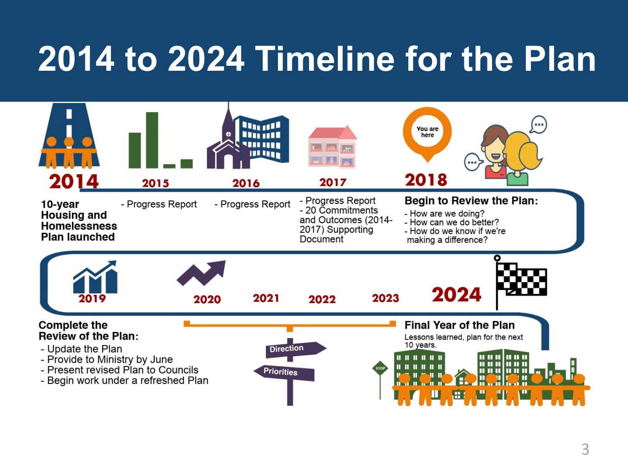#### **2014 to 2024 Timeline for the Plan**

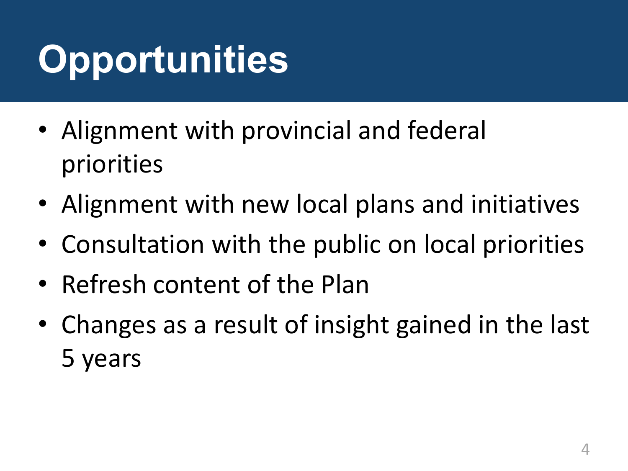# **Opportunities**

- Alignment with provincial and federal priorities
- Alignment with new local plans and initiatives
- Consultation with the public on local priorities
- Refresh content of the Plan
- Changes as a result of insight gained in the last 5 years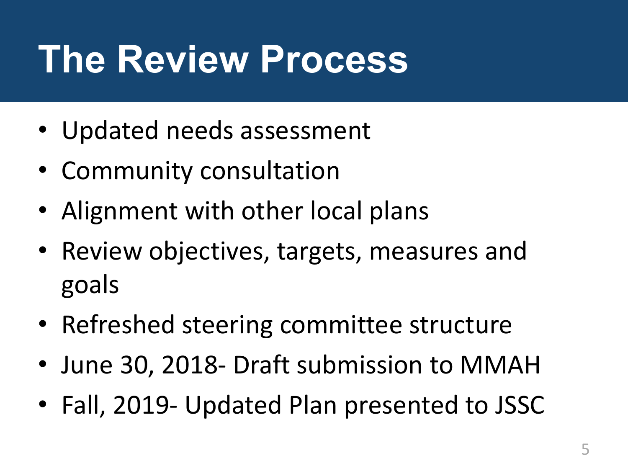## **The Review Process**

- Updated needs assessment
- Community consultation
- Alignment with other local plans
- Review objectives, targets, measures and goals
- Refreshed steering committee structure
- June 30, 2018- Draft submission to MMAH
- Fall, 2019- Updated Plan presented to JSSC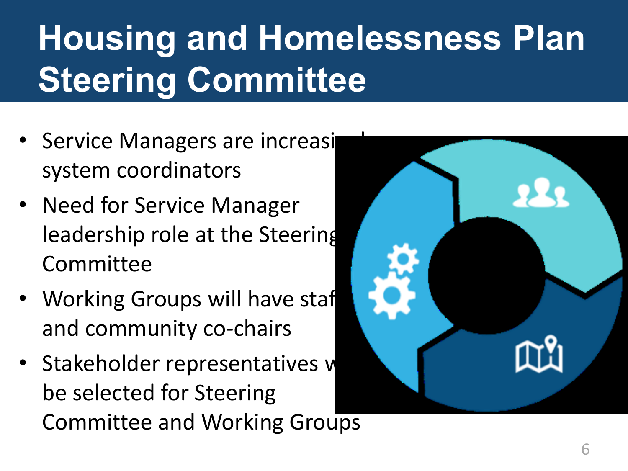## **Housing and Homelessness Plan Steering Committee**

- Service Managers are increasi system coordinators
- Need for Service Manager leadership role at the Steering Committee
- Working Groups will have staf and community co-chairs
- Stakeholder representatives w be selected for Steering Committee and Working Groups